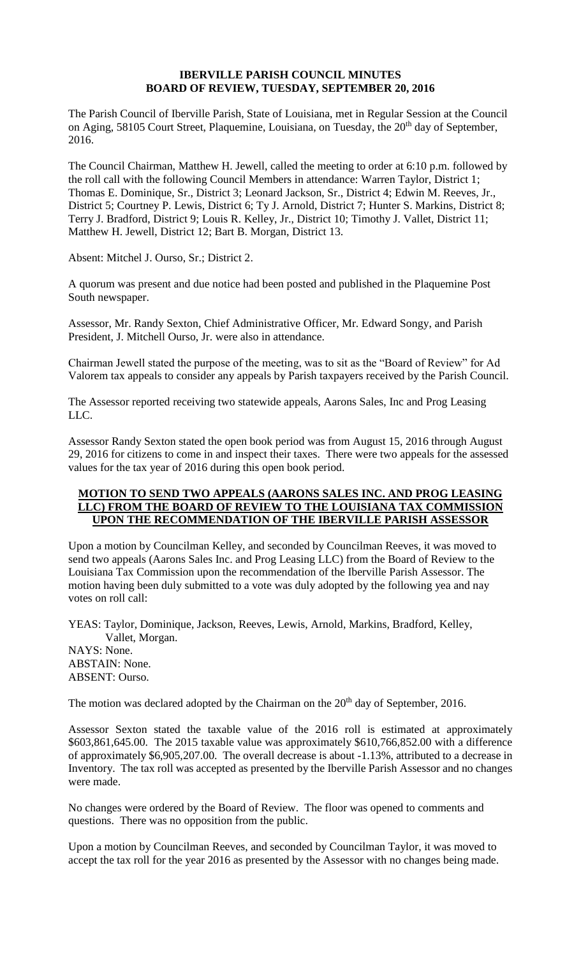## **IBERVILLE PARISH COUNCIL MINUTES BOARD OF REVIEW, TUESDAY, SEPTEMBER 20, 2016**

The Parish Council of Iberville Parish, State of Louisiana, met in Regular Session at the Council on Aging, 58105 Court Street, Plaquemine, Louisiana, on Tuesday, the 20<sup>th</sup> day of September, 2016.

The Council Chairman, Matthew H. Jewell, called the meeting to order at 6:10 p.m. followed by the roll call with the following Council Members in attendance: Warren Taylor, District 1; Thomas E. Dominique, Sr., District 3; Leonard Jackson, Sr., District 4; Edwin M. Reeves, Jr., District 5; Courtney P. Lewis, District 6; Ty J. Arnold, District 7; Hunter S. Markins, District 8; Terry J. Bradford, District 9; Louis R. Kelley, Jr., District 10; Timothy J. Vallet, District 11; Matthew H. Jewell, District 12; Bart B. Morgan, District 13.

Absent: Mitchel J. Ourso, Sr.; District 2.

A quorum was present and due notice had been posted and published in the Plaquemine Post South newspaper.

Assessor, Mr. Randy Sexton, Chief Administrative Officer, Mr. Edward Songy, and Parish President, J. Mitchell Ourso, Jr. were also in attendance.

Chairman Jewell stated the purpose of the meeting, was to sit as the "Board of Review" for Ad Valorem tax appeals to consider any appeals by Parish taxpayers received by the Parish Council.

The Assessor reported receiving two statewide appeals, Aarons Sales, Inc and Prog Leasing LLC.

Assessor Randy Sexton stated the open book period was from August 15, 2016 through August 29, 2016 for citizens to come in and inspect their taxes. There were two appeals for the assessed values for the tax year of 2016 during this open book period.

## **MOTION TO SEND TWO APPEALS (AARONS SALES INC. AND PROG LEASING LLC) FROM THE BOARD OF REVIEW TO THE LOUISIANA TAX COMMISSION UPON THE RECOMMENDATION OF THE IBERVILLE PARISH ASSESSOR**

Upon a motion by Councilman Kelley, and seconded by Councilman Reeves, it was moved to send two appeals (Aarons Sales Inc. and Prog Leasing LLC) from the Board of Review to the Louisiana Tax Commission upon the recommendation of the Iberville Parish Assessor. The motion having been duly submitted to a vote was duly adopted by the following yea and nay votes on roll call:

YEAS: Taylor, Dominique, Jackson, Reeves, Lewis, Arnold, Markins, Bradford, Kelley, Vallet, Morgan.

NAYS: None. ABSTAIN: None. ABSENT: Ourso.

The motion was declared adopted by the Chairman on the 20<sup>th</sup> day of September, 2016.

Assessor Sexton stated the taxable value of the 2016 roll is estimated at approximately \$603,861,645.00. The 2015 taxable value was approximately \$610,766,852.00 with a difference of approximately \$6,905,207.00. The overall decrease is about -1.13%, attributed to a decrease in Inventory. The tax roll was accepted as presented by the Iberville Parish Assessor and no changes were made.

No changes were ordered by the Board of Review. The floor was opened to comments and questions. There was no opposition from the public.

Upon a motion by Councilman Reeves, and seconded by Councilman Taylor, it was moved to accept the tax roll for the year 2016 as presented by the Assessor with no changes being made.